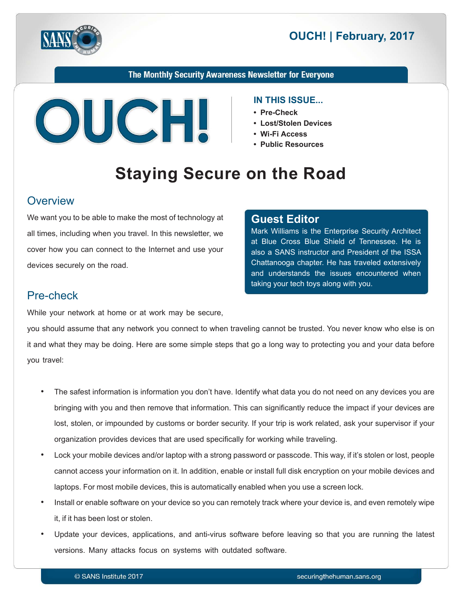



The Monthly Security Awareness Newsletter for Everyone



#### **IN THIS ISSUE...**

- Pre-Check
- Lost/Stolen Devices
- Wi-Fi Access
- **Public Resources**

# **Staying Secure on the Road**

#### **Overview**

We want you to be able to make the most of technology at all times, including when you travel. In this newsletter, we cover how you can connect to the Internet and use your devices securely on the road.

#### **Editor Guest**

Mark Williams is the Enterprise Security Architect at Blue Cross Blue Shield of Tennessee. He is also a SANS instructor and President of the ISSA Chattanooga chapter. He has traveled extensively and understands the issues encountered when taking your tech toys along with you.

## Pre-check

While your network at home or at work may be secure,

you should assume that any network you connect to when traveling cannot be trusted. You never know who else is on it and what they may be doing. Here are some simple steps that go a long way to protecting you and your data before you travel:

- The safest information is information you don't have. Identify what data you do not need on any devices you are bringing with you and then remove that information. This can significantly reduce the impact if your devices are lost, stolen, or impounded by customs or border security. If your trip is work related, ask your supervisor if your organization provides devices that are used specifically for working while traveling.
- Lock your mobile devices and/or laptop with a strong password or passcode. This way, if it's stolen or lost, people cannot access your information on it. In addition, enable or install full disk encryption on your mobile devices and laptops. For most mobile devices, this is automatically enabled when you use a screen lock.
- Install or enable software on your device so you can remotely track where your device is, and even remotely wipe it, if it has been lost or stolen.
- Update your devices, applications, and anti-virus software before leaving so that you are running the latest versions. Many attacks focus on systems with outdated software.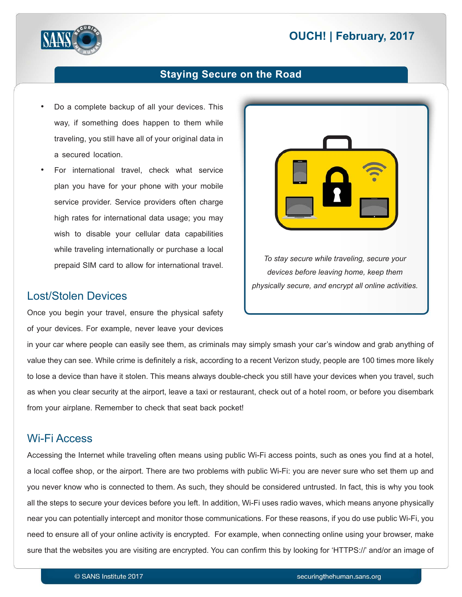# **2017 DUCH! | February, 2017**



#### **Staying Secure on the Road**

- Do a complete backup of all your devices. This way, if something does happen to them while traveling, you still have all of your original data in a secured location.
- For international travel, check what service plan you have for your phone with your mobile service provider. Service providers often charge high rates for international data usage; you may wish to disable your cellular data capabilities while traveling internationally or purchase a local prepaid SIM card to allow for international travel.

#### Lost/Stolen Devices

Once you begin your travel, ensure the physical safety of your devices. For example, never leave your devices

*To stay secure while traveling, secure your devices before leaving home, keep them* physically secure, and encrypt all online activities.

in your car where people can easily see them, as criminals may simply smash your car's window and grab anything of value they can see. While crime is definitely a risk, according to a recent Verizon study, people are 100 times more likely to lose a device than have it stolen. This means always double-check you still have your devices when you travel, such as when you clear security at the airport, leave a taxi or restaurant, check out of a hotel room, or before you disembark from your airplane. Remember to check that seat back pocket!

#### **Wi-Fi Access**

Accessing the Internet while traveling often means using public Wi-Fi access points, such as ones you find at a hotel, a local coffee shop, or the airport. There are two problems with public Wi-Fi: you are never sure who set them up and you never know who is connected to them. As such, they should be considered untrusted. In fact, this is why you took all the steps to secure your devices before you left. In addition, Wi-Fi uses radio waves, which means anyone physically near you can potentially intercept and monitor those communications. For these reasons, if you do use public Wi-Fi, you need to ensure all of your online activity is encrypted. For example, when connecting online using your browser, make sure that the websites you are visiting are encrypted. You can confirm this by looking for 'HTTPS://' and/or an image of